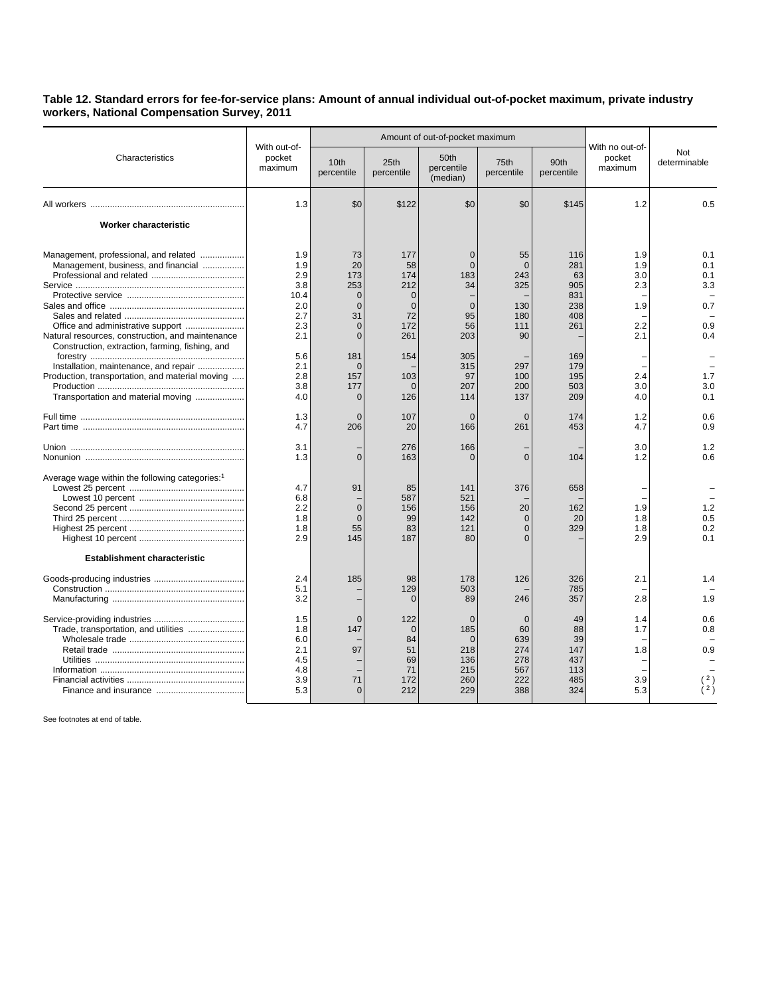## **Table 12. Standard errors for fee-for-service plans: Amount of annual individual out-of-pocket maximum, private industry workers, National Compensation Survey, 2011**

| Characteristics                                                                                                                                                                     | With out-of-<br>pocket<br>maximum                            |                                                                                             | Amount of out-of-pocket maximum                                                 |                                                                              |                                                             |                                                     |                                               |                                               |
|-------------------------------------------------------------------------------------------------------------------------------------------------------------------------------------|--------------------------------------------------------------|---------------------------------------------------------------------------------------------|---------------------------------------------------------------------------------|------------------------------------------------------------------------------|-------------------------------------------------------------|-----------------------------------------------------|-----------------------------------------------|-----------------------------------------------|
|                                                                                                                                                                                     |                                                              | 10th<br>percentile                                                                          | 25th<br>percentile                                                              | 50th<br>percentile<br>(median)                                               | 75th<br>percentile                                          | 90th<br>percentile                                  | With no out-of-<br>pocket<br>maximum          | Not<br>determinable                           |
|                                                                                                                                                                                     | 1.3                                                          | \$0                                                                                         | \$122                                                                           | \$0                                                                          | \$0                                                         | \$145                                               | 1.2                                           | 0.5                                           |
| Worker characteristic                                                                                                                                                               |                                                              |                                                                                             |                                                                                 |                                                                              |                                                             |                                                     |                                               |                                               |
| Management, professional, and related<br>Management, business, and financial<br>Natural resources, construction, and maintenance<br>Construction, extraction, farming, fishing, and | 1.9<br>1.9<br>2.9<br>3.8<br>10.4<br>2.0<br>2.7<br>2.3<br>2.1 | 73<br>20<br>173<br>253<br>$\mathbf 0$<br>$\overline{0}$<br>31<br>$\overline{0}$<br>$\Omega$ | 177<br>58<br>174<br>212<br>$\overline{0}$<br>$\overline{0}$<br>72<br>172<br>261 | $\overline{0}$<br>$\Omega$<br>183<br>34<br>$\overline{0}$<br>95<br>56<br>203 | 55<br>$\Omega$<br>243<br>325<br>130<br>180<br>111<br>90     | 116<br>281<br>63<br>905<br>831<br>238<br>408<br>261 | 1.9<br>1.9<br>3.0<br>2.3<br>1.9<br>2.2<br>2.1 | 0.1<br>0.1<br>0.1<br>3.3<br>0.7<br>0.9<br>0.4 |
| Installation, maintenance, and repair<br>Production, transportation, and material moving<br>Transportation and material moving                                                      | 5.6<br>2.1<br>2.8<br>3.8<br>4.0                              | 181<br>$\overline{0}$<br>157<br>177<br>$\mathbf 0$                                          | 154<br>103<br>$\Omega$<br>126                                                   | 305<br>315<br>97<br>207<br>114                                               | 297<br>100<br>200<br>137                                    | 169<br>179<br>195<br>503<br>209                     | 2.4<br>3.0<br>4.0                             | 1.7<br>3.0<br>0.1                             |
|                                                                                                                                                                                     | 1.3<br>4.7                                                   | $\mathbf{0}$<br>206                                                                         | 107<br>20                                                                       | $\overline{0}$<br>166                                                        | $\mathbf 0$<br>261                                          | 174<br>453                                          | 1.2<br>4.7                                    | 0.6<br>0.9                                    |
|                                                                                                                                                                                     | 3.1<br>1.3                                                   | $\overline{0}$                                                                              | 276<br>163                                                                      | 166<br>$\Omega$                                                              | $\overline{0}$                                              | 104                                                 | 3.0<br>1.2                                    | 1.2<br>0.6                                    |
| Average wage within the following categories: <sup>1</sup>                                                                                                                          | 4.7<br>6.8<br>2.2<br>1.8<br>1.8<br>2.9                       | 91<br>$\overline{0}$<br>$\Omega$<br>55<br>145                                               | 85<br>587<br>156<br>99<br>83<br>187                                             | 141<br>521<br>156<br>142<br>121<br>80                                        | 376<br>20<br>$\Omega$<br>$\Omega$<br>$\Omega$               | 658<br>162<br>20<br>329                             | 1.9<br>1.8<br>1.8<br>2.9                      | 1.2<br>0.5<br>0.2<br>0.1                      |
| <b>Establishment characteristic</b>                                                                                                                                                 | 2.4<br>5.1<br>3.2                                            | 185                                                                                         | 98<br>129<br>$\Omega$                                                           | 178<br>503<br>89                                                             | 126<br>246                                                  | 326<br>785<br>357                                   | 2.1<br>2.8                                    | 1.4<br>1.9                                    |
|                                                                                                                                                                                     | 1.5<br>1.8<br>6.0<br>2.1<br>4.5<br>4.8<br>3.9<br>5.3         | $\overline{0}$<br>147<br>97<br>71<br>$\Omega$                                               | 122<br>$\Omega$<br>84<br>51<br>69<br>71<br>172<br>212                           | $\mathbf 0$<br>185<br>$\Omega$<br>218<br>136<br>215<br>260<br>229            | $\mathbf 0$<br>60<br>639<br>274<br>278<br>567<br>222<br>388 | 49<br>88<br>39<br>147<br>437<br>113<br>485<br>324   | 1.4<br>1.7<br>1.8<br>3.9<br>5.3               | 0.6<br>0.8<br>0.9<br>2)                       |

See footnotes at end of table.